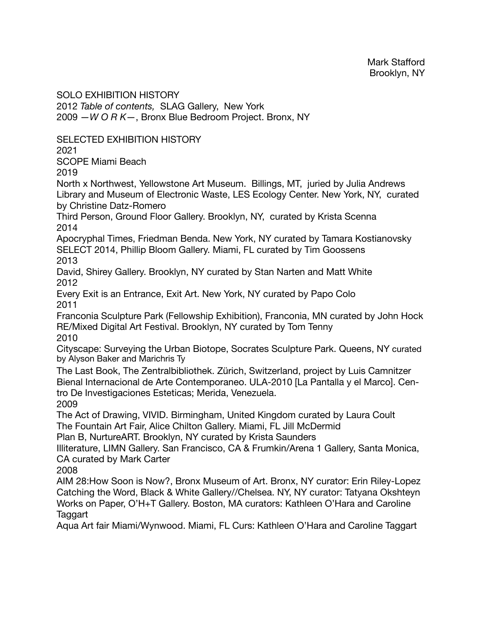SOLO EXHIBITION HISTORY

2012 *Table of contents,* SLAG Gallery, New York 2009 —*W O R K*—, Bronx Blue Bedroom Project. Bronx, NY

SELECTED EXHIBITION HISTORY

2021

SCOPE Miami Beach

2019

North x Northwest, Yellowstone Art Museum. Billings, MT, juried by Julia Andrews Library and Museum of Electronic Waste, LES Ecology Center. New York, NY, curated by Christine Datz-Romero

Third Person, Ground Floor Gallery. Brooklyn, NY, curated by Krista Scenna 2014

Apocryphal Times, Friedman Benda. New York, NY curated by Tamara Kostianovsky SELECT 2014, Phillip Bloom Gallery. Miami, FL curated by Tim Goossens 2013

David, Shirey Gallery. Brooklyn, NY curated by Stan Narten and Matt White 2012

Every Exit is an Entrance, Exit Art. New York, NY curated by Papo Colo 2011

Franconia Sculpture Park (Fellowship Exhibition), Franconia, MN curated by John Hock RE/Mixed Digital Art Festival. Brooklyn, NY curated by Tom Tenny 2010

Cityscape: Surveying the Urban Biotope, Socrates Sculpture Park. Queens, NY curated by Alyson Baker and Marichris Ty

The Last Book, The Zentralbibliothek. Zürich, Switzerland, project by Luis Camnitzer Bienal Internacional de Arte Contemporaneo. ULA-2010 [La Pantalla y el Marco]. Centro De Investigaciones Esteticas; Merida, Venezuela. 2009

The Act of Drawing, VIVID. Birmingham, United Kingdom curated by Laura Coult The Fountain Art Fair, Alice Chilton Gallery. Miami, FL Jill McDermid

Plan B, NurtureART. Brooklyn, NY curated by Krista Saunders

Illiterature, LIMN Gallery. San Francisco, CA & Frumkin/Arena 1 Gallery, Santa Monica, CA curated by Mark Carter

2008

AIM 28:How Soon is Now?, Bronx Museum of Art. Bronx, NY curator: Erin Riley-Lopez Catching the Word, Black & White Gallery//Chelsea. NY, NY curator: Tatyana Okshteyn Works on Paper, O'H+T Gallery. Boston, MA curators: Kathleen O'Hara and Caroline Taggart

Aqua Art fair Miami/Wynwood. Miami, FL Curs: Kathleen O'Hara and Caroline Taggart